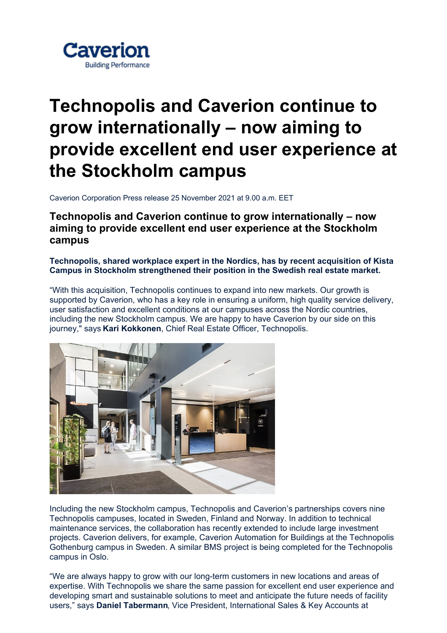

## **Technopolis and Caverion continue to grow internationally – now aiming to provide excellent end user experience at the Stockholm campus**

Caverion Corporation Press release 25 November 2021 at 9.00 a.m. EET

**Technopolis and Caverion continue to grow internationally – now aiming to provide excellent end user experience at the Stockholm campus**

**Technopolis, shared workplace expert in the Nordics, has by recent acquisition of Kista Campus in Stockholm strengthened their position in the Swedish real estate market.**

"With this acquisition, Technopolis continues to expand into new markets. Our growth is supported by Caverion, who has a key role in ensuring a uniform, high quality service delivery, user satisfaction and excellent conditions at our campuses across the Nordic countries, including the new Stockholm campus. We are happy to have Caverion by our side on this journey," says **Kari Kokkonen**, Chief Real Estate Officer, Technopolis.



Including the new Stockholm campus, Technopolis and Caverion's partnerships covers nine Technopolis campuses, located in Sweden, Finland and Norway. In addition to technical maintenance services, the collaboration has recently extended to include large investment projects. Caverion delivers, for example, Caverion Automation for Buildings at the Technopolis Gothenburg campus in Sweden. A similar BMS project is being completed for the Technopolis campus in Oslo.

"We are always happy to grow with our long-term customers in new locations and areas of expertise. With Technopolis we share the same passion for excellent end user experience and developing smart and sustainable solutions to meet and anticipate the future needs of facility users," says **Daniel Tabermann**, Vice President, International Sales & Key Accounts at